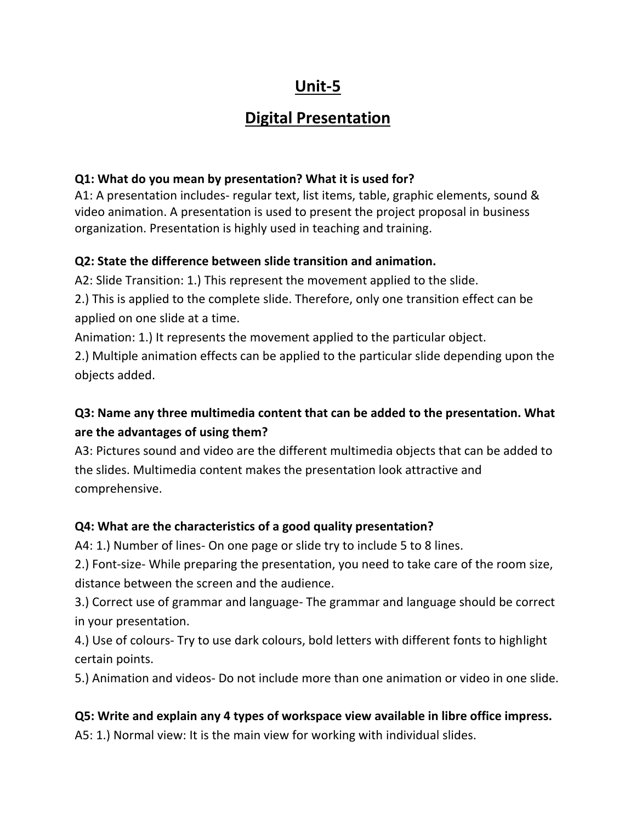# **Unit-5**

## **Digital Presentation**

#### **Q1: What do you mean by presentation? What it is used for?**

A1: A presentation includes- regular text, list items, table, graphic elements, sound & video animation. A presentation is used to present the project proposal in business organization. Presentation is highly used in teaching and training.

#### **Q2: State the difference between slide transition and animation.**

A2: Slide Transition: 1.) This represent the movement applied to the slide.

2.) This is applied to the complete slide. Therefore, only one transition effect can be applied on one slide at a time.

Animation: 1.) It represents the movement applied to the particular object.

2.) Multiple animation effects can be applied to the particular slide depending upon the objects added.

## **Q3: Name any three multimedia content that can be added to the presentation. What are the advantages of using them?**

A3: Pictures sound and video are the different multimedia objects that can be added to the slides. Multimedia content makes the presentation look attractive and comprehensive.

#### **Q4: What are the characteristics of a good quality presentation?**

A4: 1.) Number of lines- On one page or slide try to include 5 to 8 lines.

2.) Font-size- While preparing the presentation, you need to take care of the room size, distance between the screen and the audience.

3.) Correct use of grammar and language- The grammar and language should be correct in your presentation.

4.) Use of colours- Try to use dark colours, bold letters with different fonts to highlight certain points.

5.) Animation and videos- Do not include more than one animation or video in one slide.

### **Q5: Write and explain any 4 types of workspace view available in libre office impress.**

A5: 1.) Normal view: It is the main view for working with individual slides.